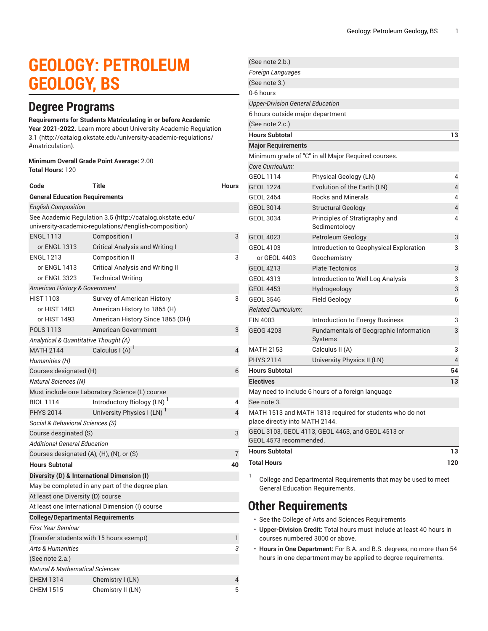# **GEOLOGY: PETROLEUM GEOLOGY, BS**

### **Degree Programs**

### **Requirements for Students Matriculating in or before Academic**

**Year 2021-2022.** Learn more about University Academic [Regulation](http://catalog.okstate.edu/university-academic-regulations/#matriculation) [3.1](http://catalog.okstate.edu/university-academic-regulations/#matriculation) ([http://catalog.okstate.edu/university-academic-regulations/](http://catalog.okstate.edu/university-academic-regulations/#matriculation) [#matriculation\)](http://catalog.okstate.edu/university-academic-regulations/#matriculation).

#### **Minimum Overall Grade Point Average:** 2.00 **Total Hours:** 120

| Code                                                                                                              | Title                                           | Hours |  |
|-------------------------------------------------------------------------------------------------------------------|-------------------------------------------------|-------|--|
| <b>General Education Requirements</b>                                                                             |                                                 |       |  |
| <b>English Composition</b>                                                                                        |                                                 |       |  |
| See Academic Regulation 3.5 (http://catalog.okstate.edu/<br>university-academic-regulations/#english-composition) |                                                 |       |  |
| <b>ENGL 1113</b>                                                                                                  | <b>Composition I</b>                            | 3     |  |
| or ENGL 1313                                                                                                      | <b>Critical Analysis and Writing I</b>          |       |  |
| <b>ENGL 1213</b>                                                                                                  | Composition II                                  | 3     |  |
| or ENGL 1413                                                                                                      | Critical Analysis and Writing II                |       |  |
| or ENGL 3323                                                                                                      | <b>Technical Writing</b>                        |       |  |
| American History & Government                                                                                     |                                                 |       |  |
| <b>HIST 1103</b>                                                                                                  | Survey of American History                      | 3     |  |
| or HIST 1483                                                                                                      | American History to 1865 (H)                    |       |  |
| or HIST 1493                                                                                                      | American History Since 1865 (DH)                |       |  |
| <b>POLS 1113</b>                                                                                                  | American Government                             | 3     |  |
| Analytical & Quantitative Thought (A)                                                                             |                                                 |       |  |
| <b>MATH 2144</b>                                                                                                  | Calculus I (A) '                                | 4     |  |
| Humanities (H)                                                                                                    |                                                 |       |  |
| Courses designated (H)                                                                                            |                                                 | 6     |  |
| <b>Natural Sciences (N)</b>                                                                                       |                                                 |       |  |
|                                                                                                                   | Must include one Laboratory Science (L) course  |       |  |
| <b>BIOL 1114</b>                                                                                                  | Introductory Biology (LN)                       | 4     |  |
| <b>PHYS 2014</b>                                                                                                  | University Physics I (LN)                       | 4     |  |
| Social & Behavioral Sciences (S)                                                                                  |                                                 |       |  |
| Course desginated (S)                                                                                             |                                                 |       |  |
| Additional General Education                                                                                      |                                                 |       |  |
| Courses designated (A), (H), (N), or (S)                                                                          |                                                 | 7     |  |
| <b>Hours Subtotal</b>                                                                                             |                                                 | 40    |  |
| Diversity (D) & International Dimension (I)                                                                       |                                                 |       |  |
| May be completed in any part of the degree plan.                                                                  |                                                 |       |  |
| At least one Diversity (D) course                                                                                 |                                                 |       |  |
|                                                                                                                   | At least one International Dimension (I) course |       |  |
| <b>College/Departmental Requirements</b>                                                                          |                                                 |       |  |
| First Year Seminar                                                                                                |                                                 |       |  |
| (Transfer students with 15 hours exempt)                                                                          |                                                 | 1     |  |
| <b>Arts &amp; Humanities</b>                                                                                      |                                                 | 3     |  |
| (See note 2.a.)                                                                                                   |                                                 |       |  |
| <b>Natural &amp; Mathematical Sciences</b>                                                                        |                                                 |       |  |
| <b>CHEM 1314</b>                                                                                                  | Chemistry I (LN)                                | 4     |  |
| <b>CHEM 1515</b>                                                                                                  | Chemistry II (LN)                               | 5     |  |

| (See note 2.b.)                         |                                                          |     |
|-----------------------------------------|----------------------------------------------------------|-----|
| Foreign Languages                       |                                                          |     |
| (See note 3.)                           |                                                          |     |
| 0-6 hours                               |                                                          |     |
| <b>Upper-Division General Education</b> |                                                          |     |
| 6 hours outside major department        |                                                          |     |
| (See note 2.c.)                         |                                                          |     |
| <b>Hours Subtotal</b>                   |                                                          | 13  |
| <b>Major Requirements</b>               |                                                          |     |
|                                         | Minimum grade of "C" in all Major Required courses.      |     |
| Core Curriculum:                        |                                                          |     |
| <b>GEOL 1114</b>                        | Physical Geology (LN)                                    | 4   |
| <b>GEOL 1224</b>                        | Evolution of the Earth (LN)                              | 4   |
| <b>GEOL 2464</b>                        | <b>Rocks and Minerals</b>                                | 4   |
| GEOL 3014                               | <b>Structural Geology</b>                                | 4   |
| <b>GEOL 3034</b>                        | Principles of Stratigraphy and<br>Sedimentology          | 4   |
| <b>GEOL 4023</b>                        | Petroleum Geology                                        | 3   |
| GEOL 4103                               | Introduction to Geophysical Exploration                  | 3   |
| or GEOL 4403                            | Geochemistry                                             |     |
| <b>GEOL 4213</b>                        | <b>Plate Tectonics</b>                                   | 3   |
| <b>GEOL 4313</b>                        | Introduction to Well Log Analysis                        | 3   |
| <b>GEOL 4453</b>                        | Hydrogeology                                             | 3   |
| <b>GEOL 3546</b>                        | Field Geology                                            | 6   |
| <b>Related Curriculum:</b>              |                                                          |     |
| <b>FIN 4003</b>                         | Introduction to Energy Business                          | 3   |
| <b>GEOG 4203</b>                        | Fundamentals of Geographic Information<br>Systems        | 3   |
| <b>MATH 2153</b>                        | Calculus II (A)                                          | 3   |
| <b>PHYS 2114</b>                        | University Physics II (LN)                               | 4   |
| <b>Hours Subtotal</b>                   |                                                          | 54  |
| <b>Electives</b>                        |                                                          | 13  |
|                                         | May need to include 6 hours of a foreign language        |     |
| See note 3.                             |                                                          |     |
| place directly into MATH 2144.          | MATH 1513 and MATH 1813 required for students who do not |     |
| GEOL 4573 recommended.                  | GEOL 3103, GEOL 4113, GEOL 4463, and GEOL 4513 or        |     |
| <b>Hours Subtotal</b>                   |                                                          | 13  |
| <b>Total Hours</b>                      |                                                          | 120 |

1 College and Departmental Requirements that may be used to meet General Education Requirements.

### **Other Requirements**

- See the College of Arts and Sciences Requirements
- **Upper-Division Credit:** Total hours must include at least 40 hours in courses numbered 3000 or above.
- **Hours in One Department:** For B.A. and B.S. degrees, no more than 54 hours in one department may be applied to degree requirements.